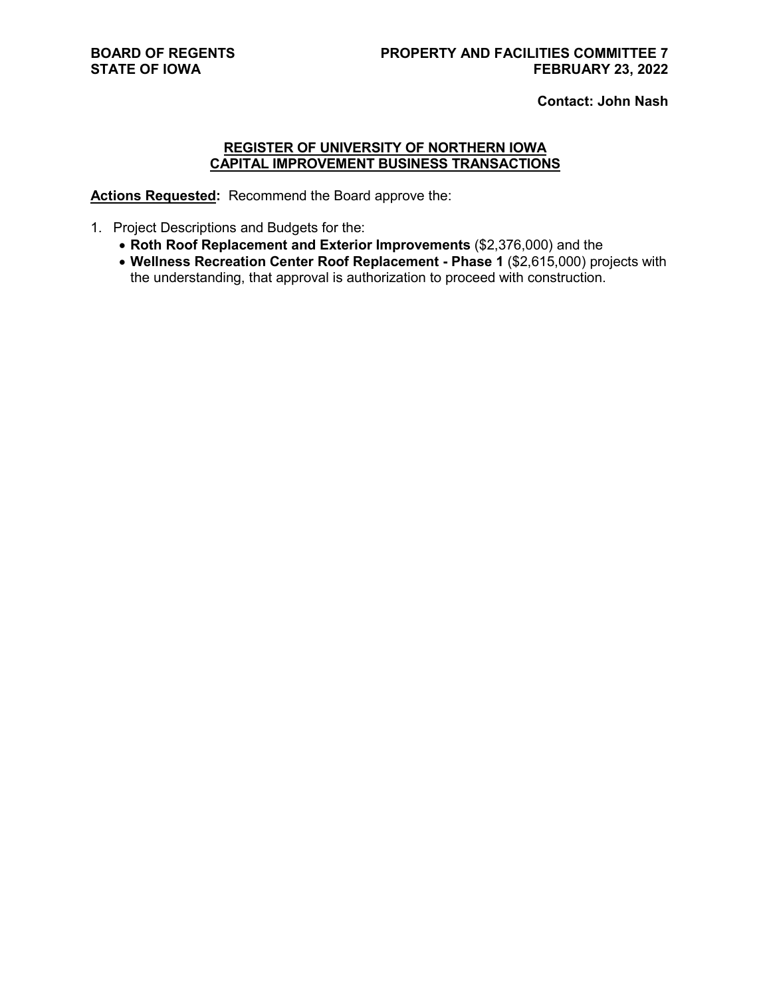**Contact: John Nash**

# **REGISTER OF UNIVERSITY OF NORTHERN IOWA CAPITAL IMPROVEMENT BUSINESS TRANSACTIONS**

**Actions Requested:** Recommend the Board approve the:

- 1. Project Descriptions and Budgets for the:
	- **Roth Roof Replacement and Exterior Improvements** (\$2,376,000) and the
	- **Wellness Recreation Center Roof Replacement - Phase 1** (\$2,615,000) projects with the understanding, that approval is authorization to proceed with construction.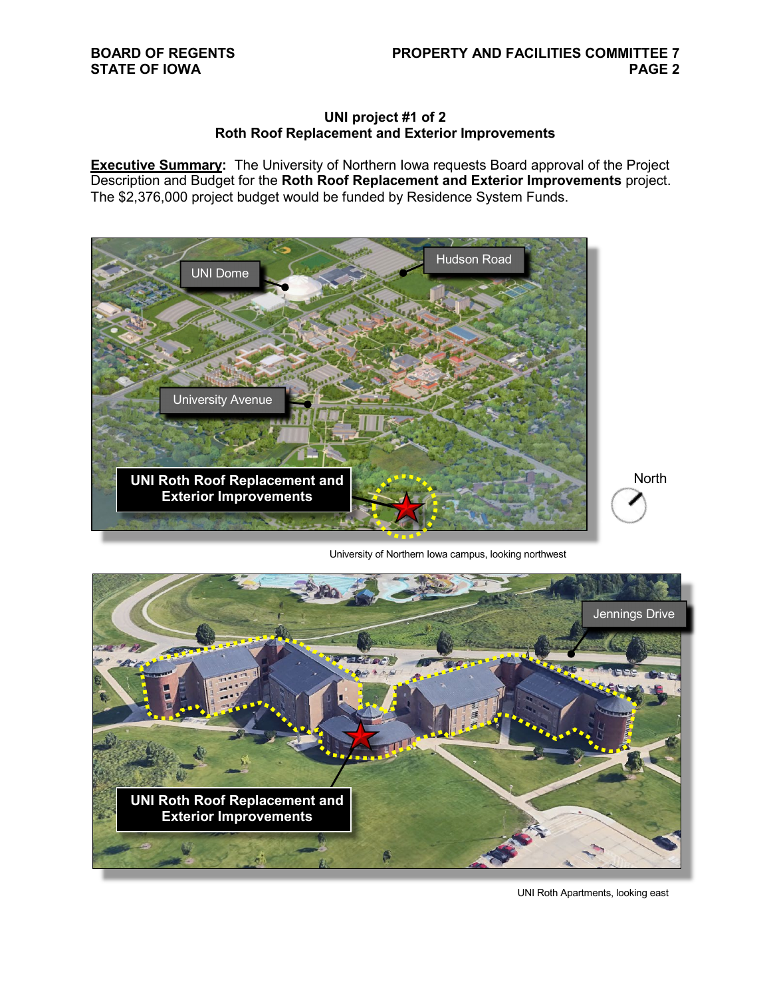## **UNI project #1 of 2 Roth Roof Replacement and Exterior Improvements**

**Executive Summary:** The University of Northern Iowa requests Board approval of the Project Description and Budget for the **Roth Roof Replacement and Exterior Improvements** project. The \$2,376,000 project budget would be funded by Residence System Funds.



University of Northern Iowa campus, looking northwest



UNI Roth Apartments, looking east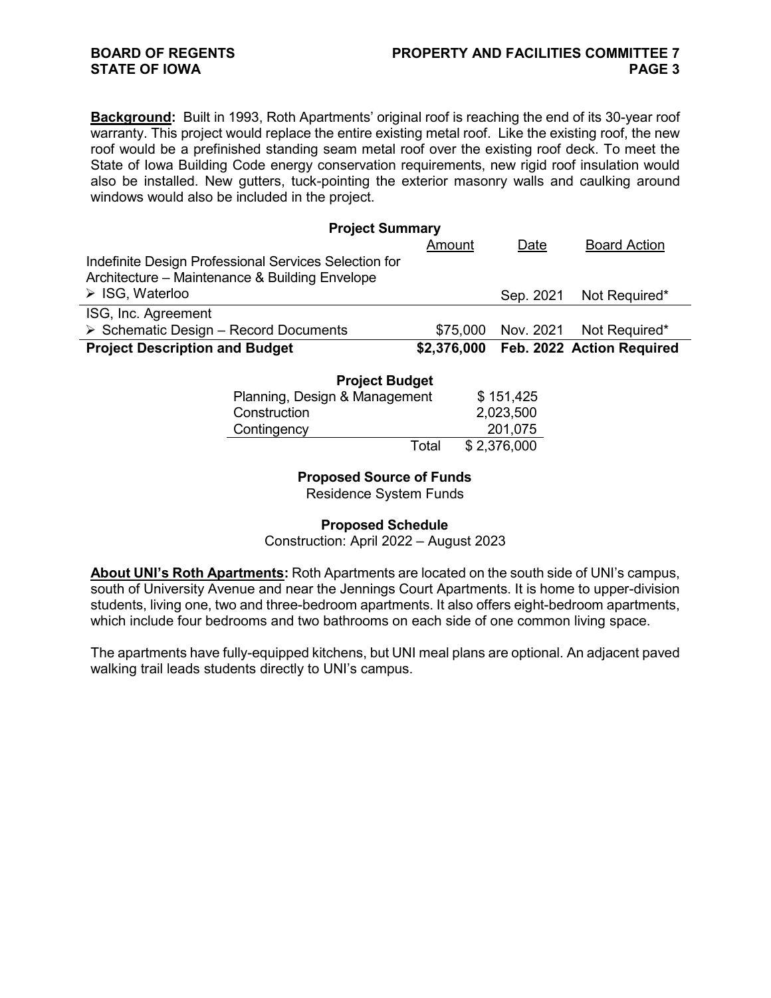**Background:** Built in 1993, Roth Apartments' original roof is reaching the end of its 30-year roof warranty. This project would replace the entire existing metal roof. Like the existing roof, the new roof would be a prefinished standing seam metal roof over the existing roof deck. To meet the State of Iowa Building Code energy conservation requirements, new rigid roof insulation would also be installed. New gutters, tuck-pointing the exterior masonry walls and caulking around windows would also be included in the project.

| <b>Project Summary</b>                                |             |           |                           |  |
|-------------------------------------------------------|-------------|-----------|---------------------------|--|
|                                                       | Amount      | Date      | <b>Board Action</b>       |  |
| Indefinite Design Professional Services Selection for |             |           |                           |  |
| Architecture – Maintenance & Building Envelope        |             |           |                           |  |
| $\triangleright$ ISG, Waterloo                        |             | Sep. 2021 | Not Required*             |  |
| ISG, Inc. Agreement                                   |             |           |                           |  |
| $\triangleright$ Schematic Design – Record Documents  | \$75,000    |           | Nov. 2021 Not Required*   |  |
| <b>Project Description and Budget</b>                 | \$2,376,000 |           | Feb. 2022 Action Required |  |

| <b>Project Budget</b>         |       |             |  |  |  |  |
|-------------------------------|-------|-------------|--|--|--|--|
| Planning, Design & Management |       | \$151,425   |  |  |  |  |
| Construction                  |       | 2,023,500   |  |  |  |  |
| Contingency                   |       | 201,075     |  |  |  |  |
|                               | Total | \$2,376,000 |  |  |  |  |

## **Proposed Source of Funds**

Residence System Funds

## **Proposed Schedule**

### Construction: April 2022 – August 2023

**About UNI's Roth Apartments:** Roth Apartments are located on the south side of UNI's campus, south of University Avenue and near the Jennings Court Apartments. It is home to upper-division students, living one, two and three-bedroom apartments. It also offers eight-bedroom apartments, which include four bedrooms and two bathrooms on each side of one common living space.

The apartments have fully-equipped kitchens, but UNI meal plans are optional. An adjacent paved walking trail leads students directly to UNI's campus.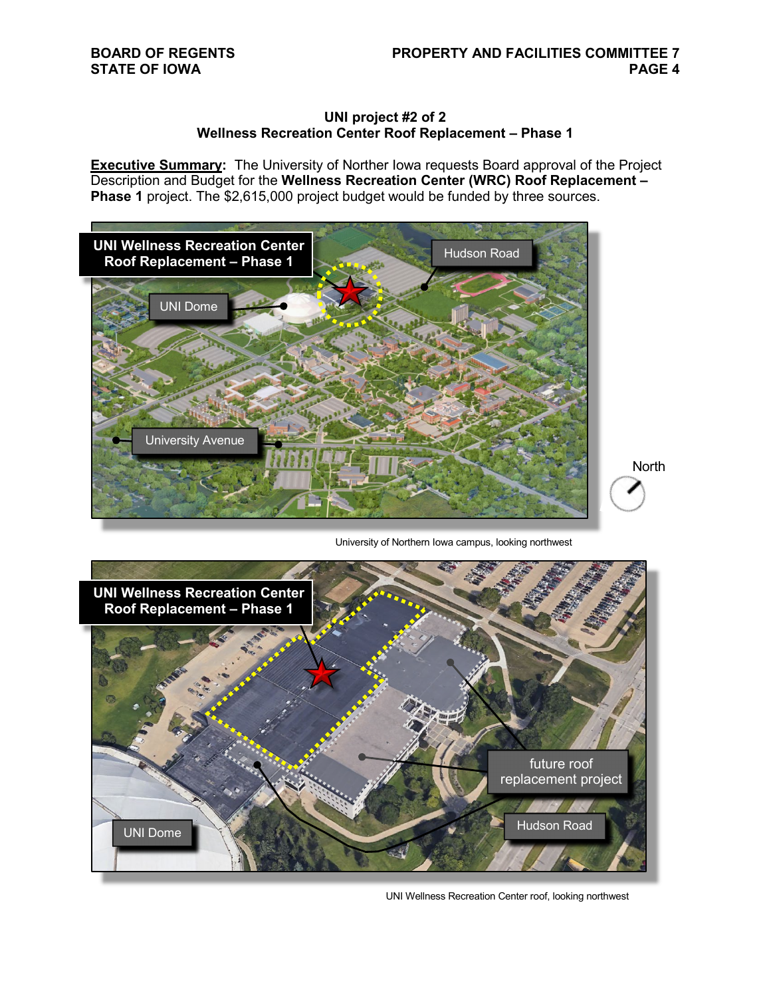**North** 

## **UNI project #2 of 2 Wellness Recreation Center Roof Replacement – Phase 1**

**Executive Summary:** The University of Norther Iowa requests Board approval of the Project Description and Budget for the **Wellness Recreation Center (WRC) Roof Replacement – Phase 1** project. The \$2,615,000 project budget would be funded by three sources.



University of Northern Iowa campus, looking northwest



UNI Wellness Recreation Center roof, looking northwest